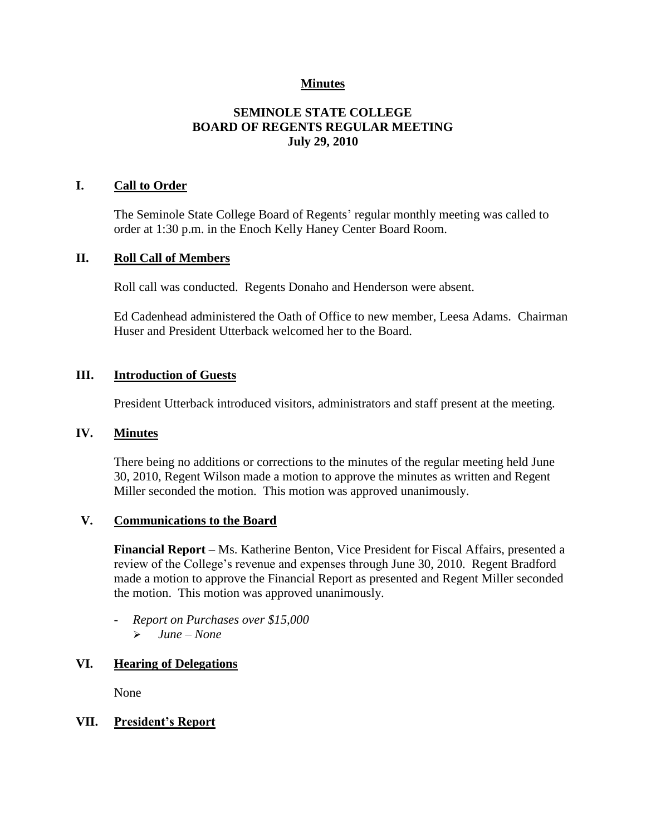# **Minutes**

# **SEMINOLE STATE COLLEGE BOARD OF REGENTS REGULAR MEETING July 29, 2010**

## **I. Call to Order**

The Seminole State College Board of Regents' regular monthly meeting was called to order at 1:30 p.m. in the Enoch Kelly Haney Center Board Room.

#### **II. Roll Call of Members**

Roll call was conducted. Regents Donaho and Henderson were absent.

Ed Cadenhead administered the Oath of Office to new member, Leesa Adams. Chairman Huser and President Utterback welcomed her to the Board.

#### **III. Introduction of Guests**

President Utterback introduced visitors, administrators and staff present at the meeting.

#### **IV. Minutes**

There being no additions or corrections to the minutes of the regular meeting held June 30, 2010, Regent Wilson made a motion to approve the minutes as written and Regent Miller seconded the motion. This motion was approved unanimously.

#### **V. Communications to the Board**

**Financial Report** – Ms. Katherine Benton, Vice President for Fiscal Affairs, presented a review of the College's revenue and expenses through June 30, 2010. Regent Bradford made a motion to approve the Financial Report as presented and Regent Miller seconded the motion. This motion was approved unanimously.

- *Report on Purchases over \$15,000 June – None*

#### **VI. Hearing of Delegations**

None

#### **VII. President's Report**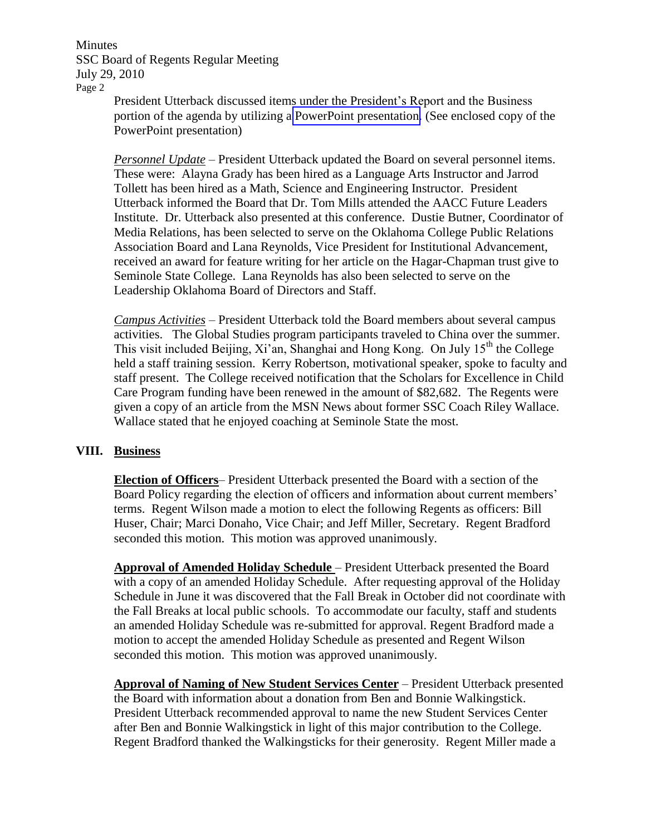Minutes SSC Board of Regents Regular Meeting July 29, 2010 Page 2

President Utterback discussed items under the President's Report and the Business portion of the agenda by utilizing a PowerPoint presentation. (See enclosed copy of the PowerPoint presentation)

*Personnel Update* – President Utterback updated the Board on several personnel items. These were: Alayna Grady has been hired as a Language Arts Instructor and Jarrod Tollett has been hired as a Math, Science and Engineering Instructor. President Utterback informed the Board that Dr. Tom Mills attended the AACC Future Leaders Institute. Dr. Utterback also presented at this conference. Dustie Butner, Coordinator of Media Relations, has been selected to serve on the Oklahoma College Public Relations Association Board and Lana Reynolds, Vice President for Institutional Advancement, received an award for feature writing for her article on the Hagar-Chapman trust give to Seminole State College. Lana Reynolds has also been selected to serve on the Leadership Oklahoma Board of Directors and Staff.

*Campus Activities* – President Utterback told the Board members about several campus activities. The Global Studies program participants traveled to China over the summer. This visit included Beijing,  $Xi'$ an, Shanghai and Hong Kong. On July  $15<sup>th</sup>$  the College held a staff training session. Kerry Robertson, motivational speaker, spoke to faculty and staff present. The College received notification that the Scholars for Excellence in Child Care Program funding have been renewed in the amount of \$82,682. The Regents were given a copy of an article from the MSN News about former SSC Coach Riley Wallace. Wallace stated that he enjoyed coaching at Seminole State the most.

## **VIII. Business**

**Election of Officers**– President Utterback presented the Board with a section of the Board Policy regarding the election of officers and information about current members' terms. Regent Wilson made a motion to elect the following Regents as officers: Bill Huser, Chair; Marci Donaho, Vice Chair; and Jeff Miller, Secretary. Regent Bradford seconded this motion. This motion was approved unanimously.

**Approval of Amended Holiday Schedule** – President Utterback presented the Board with a copy of an amended Holiday Schedule. After requesting approval of the Holiday Schedule in June it was discovered that the Fall Break in October did not coordinate with the Fall Breaks at local public schools. To accommodate our faculty, staff and students an amended Holiday Schedule was re-submitted for approval. Regent Bradford made a motion to accept the amended Holiday Schedule as presented and Regent Wilson seconded this motion. This motion was approved unanimously.

**Approval of Naming of New Student Services Center** – President Utterback presented the Board with information about a donation from Ben and Bonnie Walkingstick. President Utterback recommended approval to name the new Student Services Center after Ben and Bonnie Walkingstick in light of this major contribution to the College. Regent Bradford thanked the Walkingsticks for their generosity. Regent Miller made a